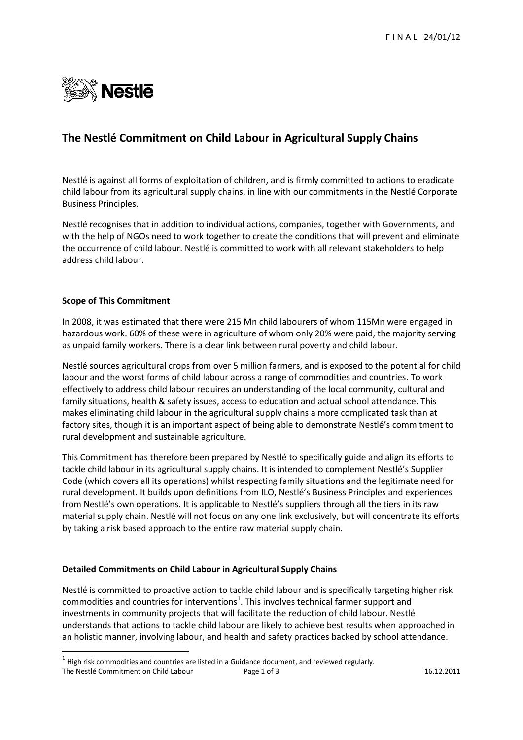

## **The Nestlé Commitment on Child Labour in Agricultural Supply Chains**

Nestlé is against all forms of exploitation of children, and is firmly committed to actions to eradicate child labour from its agricultural supply chains, in line with our commitments in the Nestlé Corporate Business Principles.

Nestlé recognises that in addition to individual actions, companies, together with Governments, and with the help of NGOs need to work together to create the conditions that will prevent and eliminate the occurrence of child labour. Nestlé is committed to work with all relevant stakeholders to help address child labour.

## **Scope of This Commitment**

1

In 2008, it was estimated that there were 215 Mn child labourers of whom 115Mn were engaged in hazardous work. 60% of these were in agriculture of whom only 20% were paid, the majority serving as unpaid family workers. There is a clear link between rural poverty and child labour.

Nestlé sources agricultural crops from over 5 million farmers, and is exposed to the potential for child labour and the worst forms of child labour across a range of commodities and countries. To work effectively to address child labour requires an understanding of the local community, cultural and family situations, health & safety issues, access to education and actual school attendance. This makes eliminating child labour in the agricultural supply chains a more complicated task than at factory sites, though it is an important aspect of being able to demonstrate Nestlé's commitment to rural development and sustainable agriculture.

This Commitment has therefore been prepared by Nestlé to specifically guide and align its efforts to tackle child labour in its agricultural supply chains. It is intended to complement Nestlé's Supplier Code (which covers all its operations) whilst respecting family situations and the legitimate need for rural development. It builds upon definitions from ILO, Nestlé's Business Principles and experiences from Nestlé's own operations. It is applicable to Nestlé's suppliers through all the tiers in its raw material supply chain. Nestlé will not focus on any one link exclusively, but will concentrate its efforts by taking a risk based approach to the entire raw material supply chain.

## **Detailed Commitments on Child Labour in Agricultural Supply Chains**

Nestlé is committed to proactive action to tackle child labour and is specifically targeting higher risk commodities and countries for interventions<sup>1</sup>. This involves technical farmer support and investments in community projects that will facilitate the reduction of child labour. Nestlé understands that actions to tackle child labour are likely to achieve best results when approached in an holistic manner, involving labour, and health and safety practices backed by school attendance.

The Nestlé Commitment on Child Labour **Page 1 of 3** 16.12.2011  $^1$  High risk commodities and countries are listed in a Guidance document, and reviewed regularly.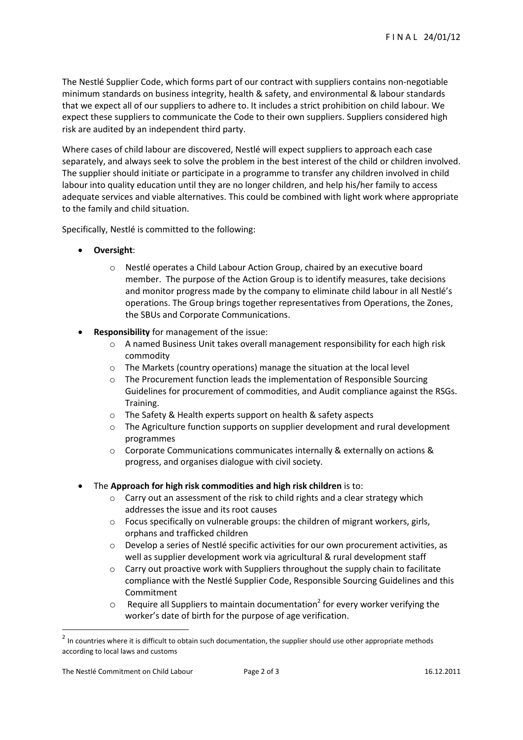The Nestlé Supplier Code, which forms part of our contract with suppliers contains non-negotiable minimum standards on business integrity, health & safety, and environmental & labour standards that we expect all of our suppliers to adhere to. It includes a strict prohibition on child labour. We expect these suppliers to communicate the Code to their own suppliers. Suppliers considered high risk are audited by an independent third party.

Where cases of child labour are discovered, Nestlé will expect suppliers to approach each case separately, and always seek to solve the problem in the best interest of the child or children involved. The supplier should initiate or participate in a programme to transfer any children involved in child labour into quality education until they are no longer children, and help his/her family to access adequate services and viable alternatives. This could be combined with light work where appropriate to the family and child situation.

Specifically, Nestlé is committed to the following:

- **Oversight**:
	- o Nestlé operates a Child Labour Action Group, chaired by an executive board member. The purpose of the Action Group is to identify measures, take decisions and monitor progress made by the company to eliminate child labour in all Nestlé's operations. The Group brings together representatives from Operations, the Zones, the SBUs and Corporate Communications.
- **Responsibility** for management of the issue:
	- o A named Business Unit takes overall management responsibility for each high risk commodity
	- o The Markets (country operations) manage the situation at the local level
	- o The Procurement function leads the implementation of Responsible Sourcing Guidelines for procurement of commodities, and Audit compliance against the RSGs. Training.
	- o The Safety & Health experts support on health & safety aspects
	- o The Agriculture function supports on supplier development and rural development programmes
	- o Corporate Communications communicates internally & externally on actions & progress, and organises dialogue with civil society.
- The **Approach for high risk commodities and high risk children** is to:
	- $\circ$  Carry out an assessment of the risk to child rights and a clear strategy which addresses the issue and its root causes
	- $\circ$  Focus specifically on vulnerable groups: the children of migrant workers, girls, orphans and trafficked children
	- $\circ$  Develop a series of Nestlé specific activities for our own procurement activities, as well as supplier development work via agricultural & rural development staff
	- $\circ$  Carry out proactive work with Suppliers throughout the supply chain to facilitate compliance with the Nestlé Supplier Code, Responsible Sourcing Guidelines and this Commitment
	- $\circ$  Require all Suppliers to maintain documentation<sup>2</sup> for every worker verifying the worker's date of birth for the purpose of age verification.

**.** 

 $2$  In countries where it is difficult to obtain such documentation, the supplier should use other appropriate methods according to local laws and customs